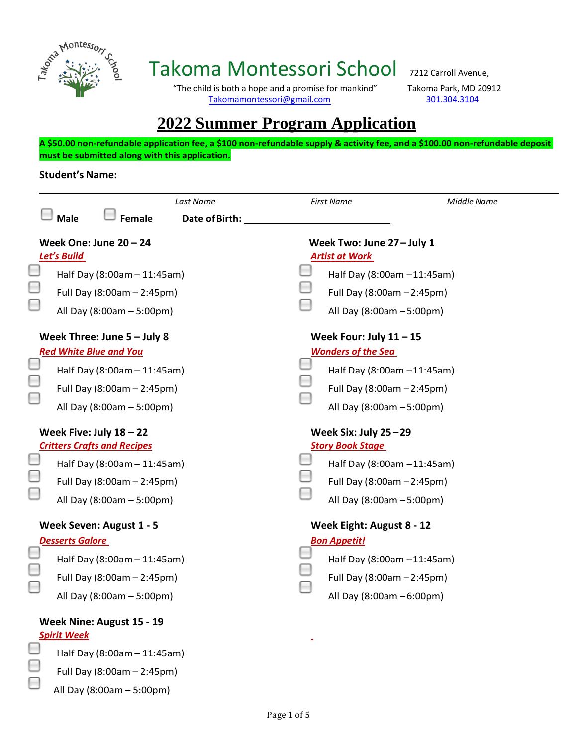

## Takoma Montessori School 7212 Carroll Avenue,

 "The child is both a hope and a promise for mankind" Takoma Park, MD 20912 [Takomamontessori@gmail.com](mailto:Takomamontessori@gmail.com) 301.304.3104

## **2022 Summer Program Application**

**A \$50.00 non-refundable application fee, a \$100 non-refundable supply & activity fee, and a \$100.00 non-refundable deposit must be submitted along with this application.**

## **Student's Name:**

Full Day (8:00am – 2:45pm) All Day (8:00am – 5:00pm)

|                                                                 |                                         |                             | Last Name                                       |                                                     | <b>First Name</b>          | Middle Name |  |
|-----------------------------------------------------------------|-----------------------------------------|-----------------------------|-------------------------------------------------|-----------------------------------------------------|----------------------------|-------------|--|
|                                                                 | <b>Male</b>                             | <b>Female</b>               | <b>Date of Birth:</b>                           |                                                     |                            |             |  |
|                                                                 | Week One: June $20 - 24$<br>Let's Build |                             |                                                 | Week Two: June 27 - July 1<br><b>Artist at Work</b> |                            |             |  |
|                                                                 | Half Day (8:00am - 11:45am)             |                             |                                                 |                                                     | Half Day (8:00am -11:45am) |             |  |
|                                                                 | Full Day (8:00am - 2:45pm)              |                             |                                                 |                                                     | Full Day (8:00am - 2:45pm) |             |  |
|                                                                 | All Day (8:00am - 5:00pm)               |                             |                                                 |                                                     | All Day (8:00am - 5:00pm)  |             |  |
|                                                                 | Week Three: June $5 -$ July 8           |                             |                                                 | Week Four: July $11 - 15$                           |                            |             |  |
|                                                                 | <b>Red White Blue and You</b>           |                             |                                                 |                                                     | <b>Wonders of the Sea</b>  |             |  |
|                                                                 | Half Day (8:00am - 11:45am)             |                             |                                                 |                                                     | Half Day (8:00am -11:45am) |             |  |
|                                                                 | Full Day (8:00am - 2:45pm)              |                             |                                                 |                                                     | Full Day (8:00am - 2:45pm) |             |  |
|                                                                 | All Day (8:00am - 5:00pm)               |                             |                                                 |                                                     | All Day (8:00am - 5:00pm)  |             |  |
| Week Five: July $18 - 22$<br><b>Critters Crafts and Recipes</b> |                                         |                             | Week Six: July 25-29<br><b>Story Book Stage</b> |                                                     |                            |             |  |
|                                                                 | Half Day (8:00am - 11:45am)             |                             |                                                 |                                                     | Half Day (8:00am -11:45am) |             |  |
|                                                                 | Full Day (8:00am - 2:45pm)              |                             |                                                 |                                                     | Full Day (8:00am - 2:45pm) |             |  |
|                                                                 | All Day (8:00am - 5:00pm)               |                             |                                                 |                                                     | All Day (8:00am - 5:00pm)  |             |  |
| Week Seven: August 1 - 5                                        |                                         |                             | Week Eight: August 8 - 12                       |                                                     |                            |             |  |
|                                                                 | <b>Desserts Galore</b>                  |                             |                                                 | <b>Bon Appetit!</b>                                 |                            |             |  |
|                                                                 |                                         | Half Day (8:00am - 11:45am) |                                                 |                                                     | Half Day (8:00am -11:45am) |             |  |
|                                                                 | Full Day (8:00am - 2:45pm)              |                             |                                                 |                                                     | Full Day (8:00am - 2:45pm) |             |  |
|                                                                 | All Day (8:00am - 5:00pm)               |                             |                                                 |                                                     | All Day (8:00am - 6:00pm)  |             |  |
|                                                                 | Week Nine: August 15 - 19               |                             |                                                 |                                                     |                            |             |  |
|                                                                 | <b>Spirit Week</b>                      |                             |                                                 |                                                     |                            |             |  |
|                                                                 | Half Day (8:00am - 11:45am)             |                             |                                                 |                                                     |                            |             |  |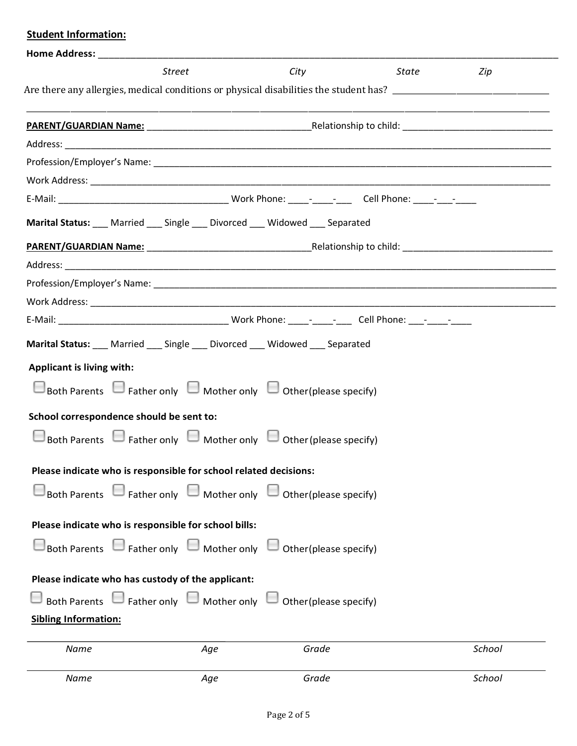|                                  | Home Address: North Parties and Secretary Address and Secretary Address and Secretary Address and Secretary Address and Secretary Address and Secretary Address and Secretary Address and Address and Address and Address and |                                                                                                           |       |        |
|----------------------------------|-------------------------------------------------------------------------------------------------------------------------------------------------------------------------------------------------------------------------------|-----------------------------------------------------------------------------------------------------------|-------|--------|
|                                  | Street                                                                                                                                                                                                                        | City                                                                                                      | State | Zip    |
|                                  |                                                                                                                                                                                                                               |                                                                                                           |       |        |
|                                  |                                                                                                                                                                                                                               |                                                                                                           |       |        |
|                                  |                                                                                                                                                                                                                               |                                                                                                           |       |        |
|                                  |                                                                                                                                                                                                                               |                                                                                                           |       |        |
|                                  |                                                                                                                                                                                                                               |                                                                                                           |       |        |
|                                  |                                                                                                                                                                                                                               |                                                                                                           |       |        |
|                                  |                                                                                                                                                                                                                               | Marital Status: __ Married __ Single __ Divorced __ Widowed __ Separated                                  |       |        |
|                                  |                                                                                                                                                                                                                               |                                                                                                           |       |        |
|                                  |                                                                                                                                                                                                                               |                                                                                                           |       |        |
|                                  |                                                                                                                                                                                                                               |                                                                                                           |       |        |
|                                  |                                                                                                                                                                                                                               |                                                                                                           |       |        |
|                                  |                                                                                                                                                                                                                               |                                                                                                           |       |        |
|                                  |                                                                                                                                                                                                                               | Marital Status: ___ Married ___ Single ___ Divorced ___ Widowed ___ Separated                             |       |        |
| <b>Applicant is living with:</b> |                                                                                                                                                                                                                               |                                                                                                           |       |        |
|                                  |                                                                                                                                                                                                                               | $\Box$ Both Parents $\Box$ Father only $\Box$ Mother only $\Box$ Other (please specify)                   |       |        |
|                                  | School correspondence should be sent to:                                                                                                                                                                                      |                                                                                                           |       |        |
|                                  |                                                                                                                                                                                                                               | $\Box$ Both Parents $\Box$ Father only $\Box$ Mother only $\Box$ Other (please specify)                   |       |        |
|                                  | Please indicate who is responsible for school related decisions:                                                                                                                                                              |                                                                                                           |       |        |
|                                  |                                                                                                                                                                                                                               | $\square$ Both Parents $\;\square$ Father only $\;\square$ Mother only $\;\square$ Other (please specify) |       |        |
|                                  | Please indicate who is responsible for school bills:                                                                                                                                                                          |                                                                                                           |       |        |
|                                  |                                                                                                                                                                                                                               | $\Box$ Both Parents $\Box$ Father only $\Box$ Mother only $\Box$ Other (please specify)                   |       |        |
|                                  | Please indicate who has custody of the applicant:                                                                                                                                                                             |                                                                                                           |       |        |
|                                  |                                                                                                                                                                                                                               | $\Box$ Both Parents $\Box$ Father only $\Box$ Mother only $\Box$ Other (please specify)                   |       |        |
| <b>Sibling Information:</b>      |                                                                                                                                                                                                                               |                                                                                                           |       |        |
| Name                             | Age                                                                                                                                                                                                                           | Grade                                                                                                     |       | School |
| Name                             | Age                                                                                                                                                                                                                           | Grade                                                                                                     |       | School |

 **Student Information:**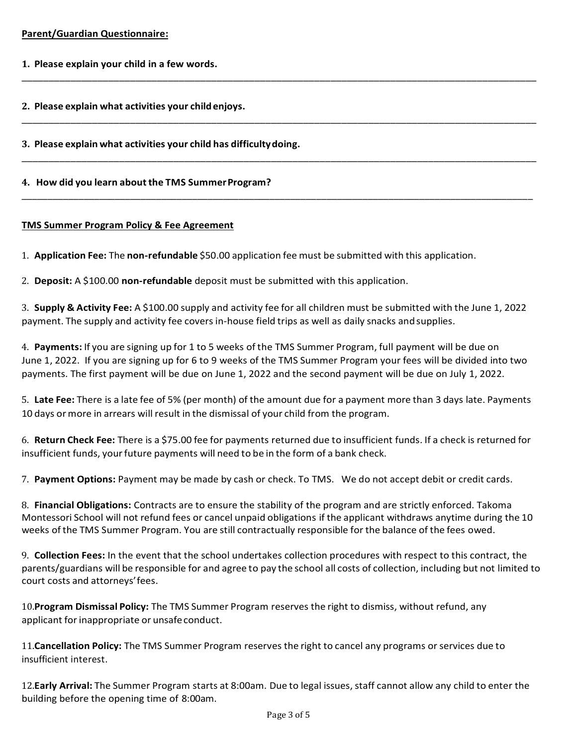- **1. Please explain your child in a few words.**
- **2. Please explain what activities your childenjoys.**

**3. Please explain what activities your child has difficultydoing.** 

**4. How did you learn about the TMS SummerProgram?**

## **TMS Summer Program Policy & Fee Agreement**

1. **Application Fee:** The **non-refundable** \$50.00 application fee must be submitted with this application.

2. **Deposit:** A \$100.00 **non-refundable** deposit must be submitted with this application.

3. **Supply & Activity Fee:** A \$100.00 supply and activity fee for all children must be submitted with the June 1, 2022 payment. The supply and activity fee covers in-house field trips as well as daily snacks andsupplies.

\_\_\_\_\_\_\_\_\_\_\_\_\_\_\_\_\_\_\_\_\_\_\_\_\_\_\_\_\_\_\_\_\_\_\_\_\_\_\_\_\_\_\_\_\_\_\_\_\_\_\_\_\_\_\_\_\_\_\_\_\_\_\_\_\_\_\_\_\_\_\_\_\_\_\_\_\_\_\_\_\_\_\_\_\_\_\_\_\_\_\_\_\_\_\_

\_\_\_\_\_\_\_\_\_\_\_\_\_\_\_\_\_\_\_\_\_\_\_\_\_\_\_\_\_\_\_\_\_\_\_\_\_\_\_\_\_\_\_\_\_\_\_\_\_\_\_\_\_\_\_\_\_\_\_\_\_\_\_\_\_\_\_\_\_\_\_\_\_\_\_\_\_\_\_\_\_\_\_\_\_\_\_\_\_\_\_\_\_\_\_

\_\_\_\_\_\_\_\_\_\_\_\_\_\_\_\_\_\_\_\_\_\_\_\_\_\_\_\_\_\_\_\_\_\_\_\_\_\_\_\_\_\_\_\_\_\_\_\_\_\_\_\_\_\_\_\_\_\_\_\_\_\_\_\_\_\_\_\_\_\_\_\_\_\_\_\_\_\_\_\_\_\_\_\_\_\_\_\_\_\_\_\_\_\_\_

\_\_\_\_\_\_\_\_\_\_\_\_\_\_\_\_\_\_\_\_\_\_\_\_\_\_\_\_\_\_\_\_\_\_\_\_\_\_\_\_\_\_\_\_\_\_\_\_\_\_\_\_\_\_\_\_\_\_\_\_\_\_\_\_\_\_\_\_\_\_\_\_\_\_\_\_\_\_\_\_\_\_\_\_\_\_\_\_\_\_\_\_\_\_\_\_\_\_\_

4. **Payments:** If you are signing up for 1 to 5 weeks of the TMS Summer Program, full payment will be due on June 1, 2022. If you are signing up for 6 to 9 weeks of the TMS Summer Program your fees will be divided into two payments. The first payment will be due on June 1, 2022 and the second payment will be due on July 1, 2022.

5. **Late Fee:** There is a late fee of 5% (per month) of the amount due for a payment more than 3 days late. Payments 10 days ormore in arrears will result in the dismissal of your child from the program.

6. **Return Check Fee:** There is a \$75.00 fee for payments returned due to insufficient funds. If a check is returned for insufficient funds, yourfuture payments will need to be in the form of a bank check.

7. **Payment Options:** Payment may be made by cash or check. To TMS. We do not accept debit or credit cards.

8. **Financial Obligations:** Contracts are to ensure the stability of the program and are strictly enforced. Takoma Montessori School will not refund fees or cancel unpaid obligations if the applicant withdraws anytime during the 10 weeks of the TMS Summer Program. You are still contractually responsible for the balance of the fees owed.

9. **Collection Fees:** In the event that the school undertakes collection procedures with respect to this contract, the parents/guardians will be responsible for and agree to pay the school all costs of collection, including but not limited to court costs and attorneys'fees.

10.**Program Dismissal Policy:** The TMS Summer Program reserves the right to dismiss, without refund, any applicant for inappropriate or unsafe conduct.

11.**Cancellation Policy:** The TMS Summer Program reserves the right to cancel any programs orservices due to insufficient interest.

12. Early Arrival: The Summer Program starts at 8:00am. Due to legal issues, staff cannot allow any child to enter the building before the opening time of 8:00am.